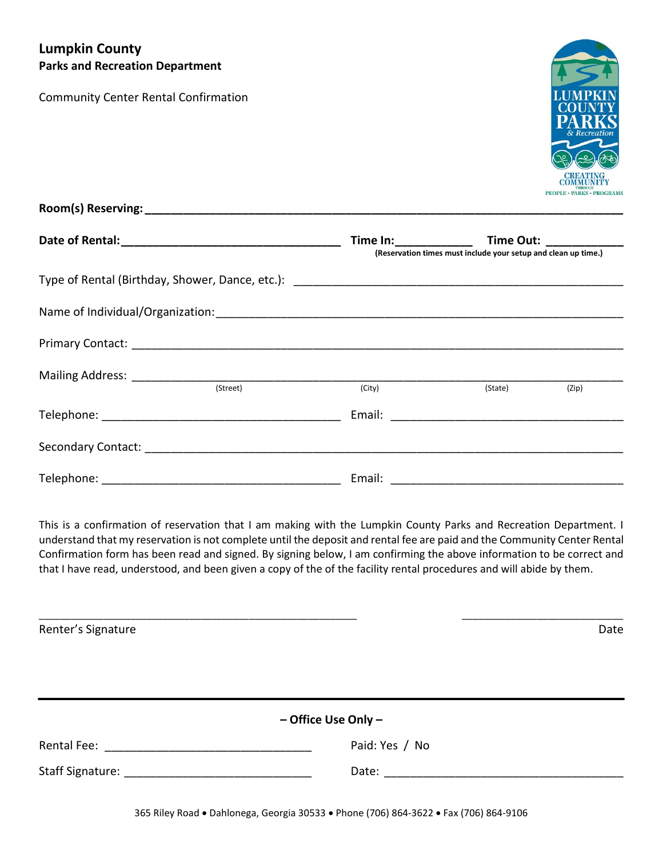## **Lumpkin County Parks and Recreation Department**

Community Center Rental Confirmation



|  |          |        | (Reservation times must include your setup and clean up time.) |       |
|--|----------|--------|----------------------------------------------------------------|-------|
|  |          |        |                                                                |       |
|  |          |        |                                                                |       |
|  |          |        |                                                                |       |
|  | (Street) | (City) |                                                                |       |
|  |          |        | (State)                                                        | (Zip) |
|  |          |        |                                                                |       |
|  |          |        |                                                                |       |

This is a confirmation of reservation that I am making with the Lumpkin County Parks and Recreation Department. I understand that my reservation is not complete until the deposit and rental fee are paid and the Community Center Rental Confirmation form has been read and signed. By signing below, I am confirming the above information to be correct and that I have read, understood, and been given a copy of the of the facility rental procedures and will abide by them.

\_\_\_\_\_\_\_\_\_\_\_\_\_\_\_\_\_\_\_\_\_\_\_\_\_\_\_\_\_\_\_\_\_\_\_\_\_\_\_\_\_\_\_\_\_\_\_\_\_\_\_\_\_\_\_\_\_\_\_ \_\_\_\_\_\_\_\_\_\_\_\_\_\_\_\_\_\_\_\_\_\_\_\_\_\_\_\_\_\_ Renter's Signature Date **– Office Use Only –** Rental Fee:  $\blacksquare$  Paid: Yes / No Staff Signature: \_\_\_\_\_\_\_\_\_\_\_\_\_\_\_\_\_\_\_\_\_\_\_\_\_\_\_\_\_ Date: \_\_\_\_\_\_\_\_\_\_\_\_\_\_\_\_\_\_\_\_\_\_\_\_\_\_\_\_\_\_\_\_\_\_\_\_\_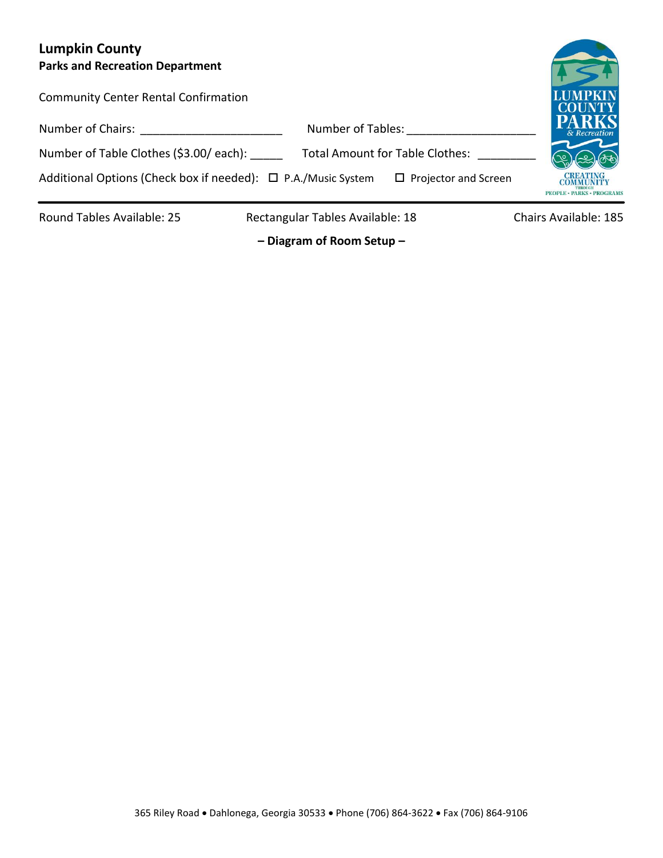# **Lumpkin County Parks and Recreation Department**

| Parks and Recreation Department                               |                                        |                                               |
|---------------------------------------------------------------|----------------------------------------|-----------------------------------------------|
| <b>Community Center Rental Confirmation</b>                   |                                        | <b>LUMPKIN</b><br><b>COUNTY</b>               |
| Number of Chairs:                                             | Number of Tables:                      | <b>PARKS</b><br>& Recreation                  |
| Number of Table Clothes (\$3.00/ each):                       | <b>Total Amount for Table Clothes:</b> |                                               |
| Additional Options (Check box if needed): □ P.A./Music System | $\Box$ Projector and Screen            | COMMUNITY<br><b>PEOPLE · PARKS · PROGRAMS</b> |
|                                                               |                                        |                                               |

Round Tables Available: 25 Rectangular Tables Available: 18 Chairs Available: 185

**– Diagram of Room Setup –**